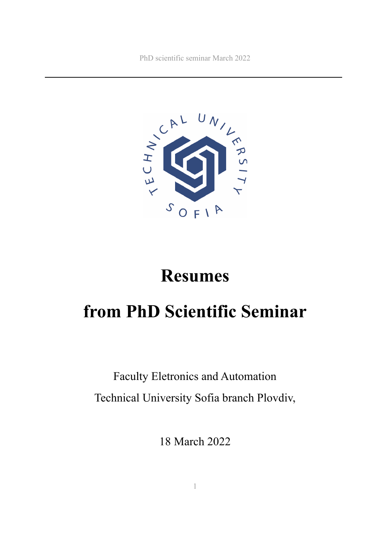

# **Resumes**

# **from PhD Scientific Seminar**

# Faculty Eletronics and Automation Technical University Sofia branch Plovdiv,

18 March 2022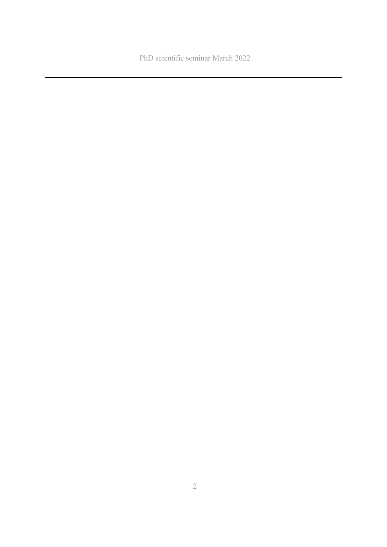PhD scientific seminar March 2022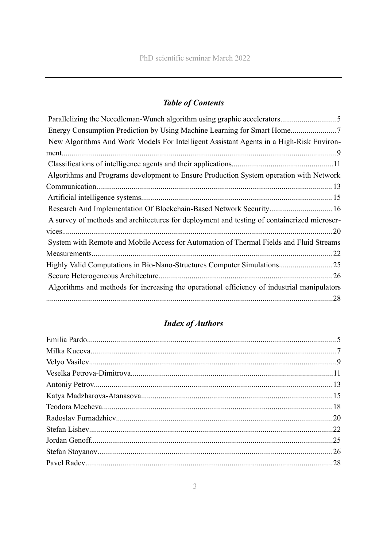# **Table of Contents**

| New Algorithms And Work Models For Intelligent Assistant Agents in a High-Risk Environ-     |     |
|---------------------------------------------------------------------------------------------|-----|
|                                                                                             |     |
|                                                                                             |     |
| Algorithms and Programs development to Ensure Production System operation with Network      |     |
|                                                                                             |     |
|                                                                                             |     |
| Research And Implementation Of Blockchain-Based Network Security16                          |     |
| A survey of methods and architectures for deployment and testing of containerized microser- |     |
|                                                                                             |     |
| System with Remote and Mobile Access for Automation of Thermal Fields and Fluid Streams     |     |
| Measurements.                                                                               | 22  |
|                                                                                             |     |
|                                                                                             |     |
| Algorithms and methods for increasing the operational efficiency of industrial manipulators |     |
|                                                                                             | .28 |
|                                                                                             |     |

# **Index of Authors**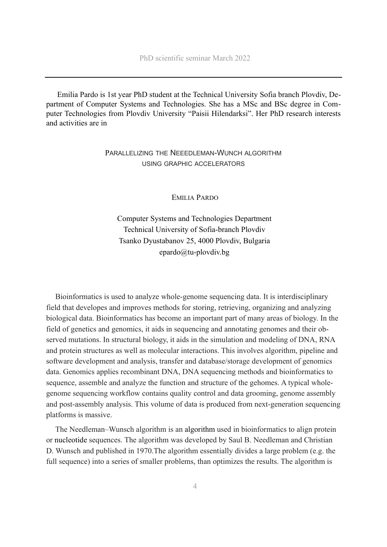Emilia Pardo is 1st year PhD student at the Technical University Sofia branch Plovdiv, Department of Computer Systems and Technologies. She has a MSc and BSc degree in Computer Technologies from Plovdiv University "Paisii Hilendarksi". Her PhD research interests and activities are in

## <span id="page-3-1"></span> PARALLELIZING THE NEEEDLEMAN-WUNCH ALGORITHM USING GRAPHIC ACCELERATORS

<span id="page-3-0"></span>EMILIA PARDO

Computer Systems and Technologies Department Technical University of Sofia-branch Plovdiv Tsanko Dyustabanov 25, 4000 Plovdiv, Bulgaria epardo@tu-plovdiv.bg

Bioinformatics is used to analyze whole-genome sequencing data. It is interdisciplinary field that developes and improves methods for storing, retrieving, organizing and analyzing biological data. Bioinformatics has become an important part of many areas of biology. In the field of genetics and genomics, it aids in sequencing and annotating genomes and their observed mutations. In structural biology, it aids in the simulation and modeling of DNA, RNA and protein structures as well as molecular interactions. This involves algorithm, pipeline and software development and analysis, transfer and database/storage development of genomics data. Genomics applies recombinant DNA, DNA sequencing methods and bioinformatics to sequence, assemble and analyze the function and structure of the gehomes. A typical wholegenome sequencing workflow contains quality control and data grooming, genome assembly and post-assembly analysis. This volume of data is produced from next-generation sequencing platforms is massive.

The Needleman–Wunsch algorithm is an algorithm used in bioinformatics to align protein or nucleotide sequences. The algorithm was developed by Saul B. Needleman and Christian D. Wunsch and published in 1970.The algorithm essentially divides a large problem (e.g. the full sequence) into a series of smaller problems, than optimizes the results. The algorithm is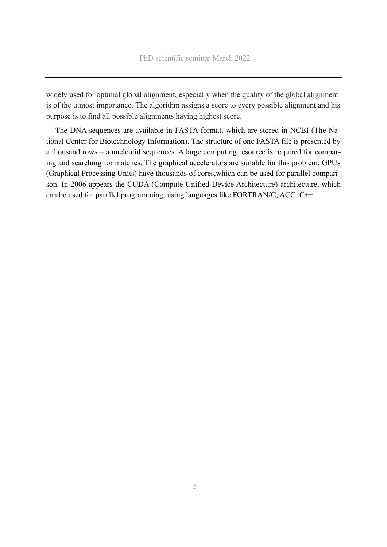widely used for optimal global alignment, especially when the quality of the global alignment is of the utmost importance. The algorithm assigns a score to every possible alignment and his purpose is to find all possible alignments having highest score.

The DNA sequences are available in FASTA format, which are stored in NCBI (The National Center for Biotechnology Information). The structure of one FASTA file is presented by a thousand rows – a nucleotid sequences. A large computing resource is required for comparing and searching for matches. The graphical accelerators are suitable for this problem. GPUs (Graphical Processing Units) have thousands of cores,which can be used for parallel comparison. In 2006 appears the CUDA (Compute Unified Device Architecture) architecture, which can be used for parallel programming, using languages like FORTRAN/C, ACC, C++.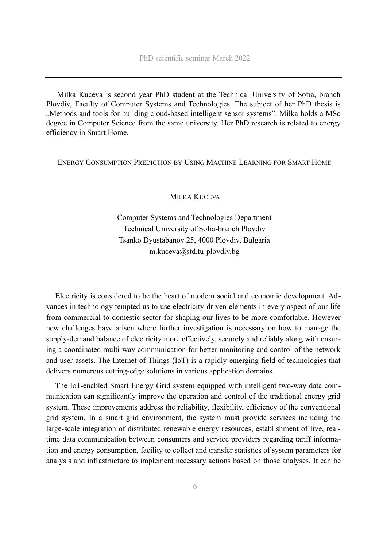Milka Kuceva is second year PhD student at the Technical University of Sofia, branch Plovdiv, Faculty of Computer Systems and Technologies. The subject of her PhD thesis is "Мethods and tools for building cloud-based intelligent sensor systems". Milka holds a MSc degree in Computer Science from the same university. Her PhD research is related to energy efficiency in Smart Home.

#### <span id="page-5-1"></span>ENERGY CONSUMPTION PREDICTION BY USING MACHINE LEARNING FOR SMART HOME

#### <span id="page-5-0"></span>MILKA KUCEVA

Computer Systems and Technologies Department Technical University of Sofia-branch Plovdiv Tsanko Dyustabanov 25, 4000 Plovdiv, Bulgaria m.kuceva@std.tu-plovdiv.bg

Electricity is considered to be the heart of modern social and economic development. Advances in technology tempted us to use electricity-driven elements in every aspect of our life from commercial to domestic sector for shaping our lives to be more comfortable. However new challenges have arisen where further investigation is necessary on how to manage the supply-demand balance of electricity more effectively, securely and reliably along with ensuring a coordinated multi-way communication for better monitoring and control of the network and user assets. The Internet of Things (IoT) is a rapidly emerging field of technologies that delivers numerous cutting-edge solutions in various application domains.

The IoT-enabled Smart Energy Grid system equipped with intelligent two-way data communication can significantly improve the operation and control of the traditional energy grid system. These improvements address the reliability, flexibility, efficiency of the conventional grid system. In a smart grid environment, the system must provide services including the large-scale integration of distributed renewable energy resources, establishment of live, realtime data communication between consumers and service providers regarding tariff information and energy consumption, facility to collect and transfer statistics of system parameters for analysis and infrastructure to implement necessary actions based on those analyses. It can be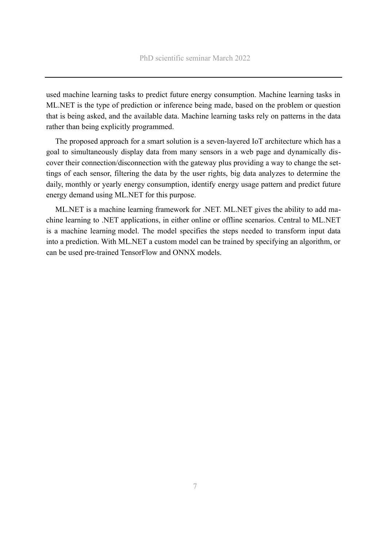used machine learning tasks to predict future energy consumption. Machine learning tasks in ML.NET is the type of prediction or inference being made, based on the problem or question that is being asked, and the available data. Machine learning tasks rely on patterns in the data rather than being explicitly programmed.

The proposed approach for a smart solution is a seven-layered IoT architecture which has a goal to simultaneously display data from many sensors in a web page and dynamically discover their connection/disconnection with the gateway plus providing a way to change the settings of each sensor, filtering the data by the user rights, big data analyzes to determine the daily, monthly or yearly energy consumption, identify energy usage pattern and predict future energy demand using ML.NET for this purpose.

ML.NET is a machine learning framework for .NET. ML.NET gives the ability to add machine learning to .NET applications, in either online or offline scenarios. Central to ML.NET is a machine learning model. The model specifies the steps needed to transform input data into a prediction. With ML.NET a custom model can be trained by specifying an algorithm, or can be used pre-trained TensorFlow and ONNX models.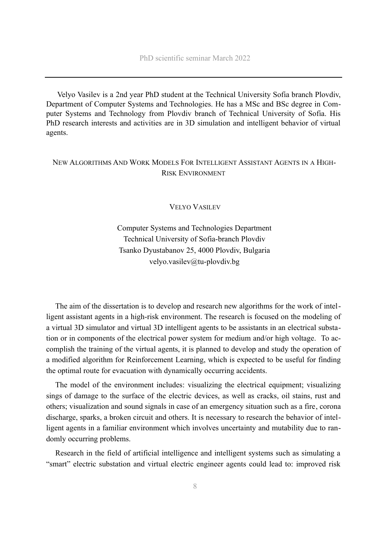Velyo Vasilev is a 2nd year PhD student at the Technical University Sofia branch Plovdiv, Department of Computer Systems and Technologies. He has a MSc and BSc degree in Computer Systems and Technology from Plovdiv branch of Technical University of Sofia. His PhD research interests and activities are in 3D simulation and intelligent behavior of virtual agents.

## <span id="page-7-1"></span> NEW ALGORITHMS AND WORK MODELS FOR INTELLIGENT ASSISTANT AGENTS IN A HIGH-RISK ENVIRONMENT

#### <span id="page-7-0"></span>VELYO VASILEV

Computer Systems and Technologies Department Technical University of Sofia-branch Plovdiv Tsanko Dyustabanov 25, 4000 Plovdiv, Bulgaria velyo.vasilev@tu-plovdiv.bg

The aim of the dissertation is to develop and research new algorithms for the work of intelligent assistant agents in a high-risk environment. The research is focused on the modeling of a virtual 3D simulator and virtual 3D intelligent agents to be assistants in an electrical substation or in components of the electrical power system for medium and/or high voltage. To accomplish the training of the virtual agents, it is planned to develop and study the operation of a modified algorithm for Reinforcement Learning, which is expected to be useful for finding the optimal route for evacuation with dynamically occurring accidents.

The model of the environment includes: visualizing the electrical equipment; visualizing sings of damage to the surface of the electric devices, as well as cracks, oil stains, rust and others; visualization and sound signals in case of an emergency situation such as a fire, corona discharge, sparks, a broken circuit and others. It is necessary to research the behavior of intelligent agents in a familiar environment which involves uncertainty and mutability due to randomly occurring problems.

Research in the field of artificial intelligence and intelligent systems such as simulating a "smart" electric substation and virtual electric engineer agents could lead to: improved risk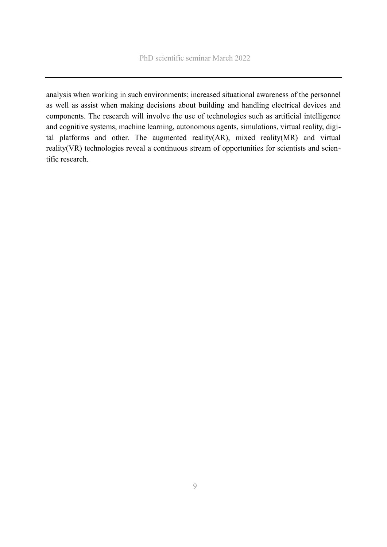analysis when working in such environments; increased situational awareness of the personnel as well as assist when making decisions about building and handling electrical devices and components. The research will involve the use of technologies such as artificial intelligence and cognitive systems, machine learning, autonomous agents, simulations, virtual reality, digital platforms and other. The augmented reality(AR), mixed reality(MR) and virtual reality(VR) technologies reveal a continuous stream of opportunities for scientists and scientific research.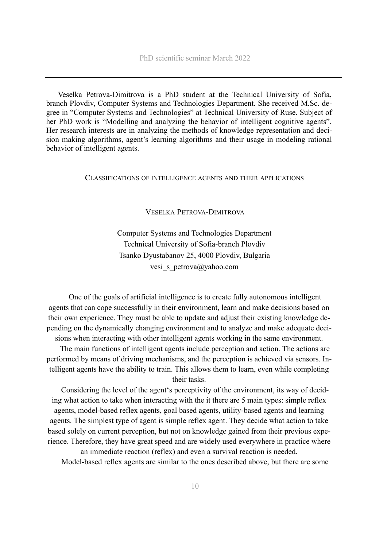Veselka Petrova-Dimitrova is a PhD student at the Technical University of Sofia, branch Plovdiv, Computer Systems and Technologies Department. She received M.Sc. degree in "Computer Systems and Technologies" at Technical University of Ruse. Subject of her PhD work is "Modelling and analyzing the behavior of intelligent cognitive agents". Her research interests are in analyzing the methods of knowledge representation and decision making algorithms, agent's learning algorithms and their usage in modeling rational behavior of intelligent agents.

#### <span id="page-9-1"></span>CLASSIFICATIONS OF INTELLIGENCE AGENTS AND THEIR APPLICATIONS

#### <span id="page-9-0"></span>VESELKA PETROVA-DIMITROVA

Computer Systems and Technologies Department Technical University of Sofia-branch Plovdiv Tsanko Dyustabanov 25, 4000 Plovdiv, Bulgaria vesi s petrova@yahoo.com

One of the goals of artificial intelligence is to create fully autonomous intelligent agents that can cope successfully in their environment, learn and make decisions based on their own experience. They must be able to update and adjust their existing knowledge depending on the dynamically changing environment and to analyze and make adequate decisions when interacting with other intelligent agents working in the same environment. The main functions of intelligent agents include perception and action. The actions are

performed by means of driving mechanisms, and the perception is achieved via sensors. Intelligent agents have the ability to train. This allows them to learn, even while completing their tasks.

Considering the level of the agent's perceptivity of the environment, its way of deciding what action to take when interacting with the it there are 5 main types: simple reflex agents, model-based reflex agents, goal based agents, utility-based agents and learning agents. The simplest type of agent is simple reflex agent. They decide what action to take based solely on current perception, but not on knowledge gained from their previous experience. Therefore, they have great speed and are widely used everywhere in practice where an immediate reaction (reflex) and even a survival reaction is needed.

Model-based reflex agents are similar to the ones described above, but there are some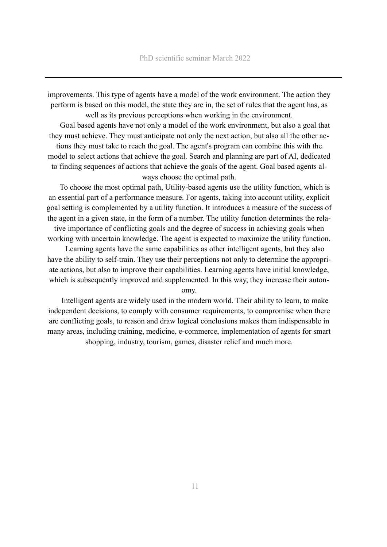improvements. This type of agents have a model of the work environment. The action they perform is based on this model, the state they are in, the set of rules that the agent has, as well as its previous perceptions when working in the environment.

Goal based agents have not only a model of the work environment, but also a goal that they must achieve. They must anticipate not only the next action, but also all the other actions they must take to reach the goal. The agent's program can combine this with the model to select actions that achieve the goal. Search and planning are part of AI, dedicated to finding sequences of actions that achieve the goals of the agent. Goal based agents always choose the optimal path.

To choose the most optimal path, Utility-based agents use the utility function, which is an essential part of a performance measure. For agents, taking into account utility, explicit goal setting is complemented by a utility function. It introduces a measure of the success of the agent in a given state, in the form of a number. The utility function determines the relative importance of conflicting goals and the degree of success in achieving goals when

working with uncertain knowledge. The agent is expected to maximize the utility function. Learning agents have the same capabilities as other intelligent agents, but they also

have the ability to self-train. They use their perceptions not only to determine the appropriate actions, but also to improve their capabilities. Learning agents have initial knowledge, which is subsequently improved and supplemented. In this way, they increase their auton-

omy.

Intelligent agents are widely used in the modern world. Their ability to learn, to make independent decisions, to comply with consumer requirements, to compromise when there are conflicting goals, to reason and draw logical conclusions makes them indispensable in many areas, including training, medicine, e-commerce, implementation of agents for smart shopping, industry, tourism, games, disaster relief and much more.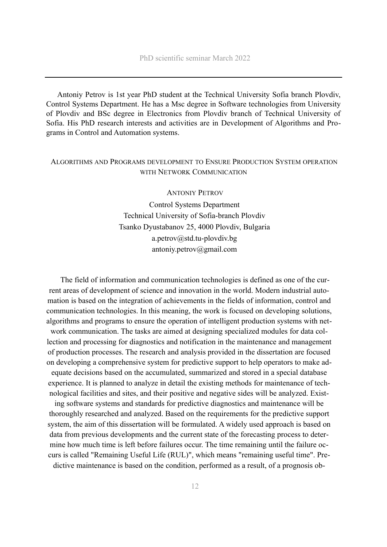Antoniy Petrov is 1st year PhD student at the Technical University Sofia branch Plovdiv, Control Systems Department. He has a Msc degree in Software technologies from University of Plovdiv and BSc degree in Electronics from Plovdiv branch of Technical University of Sofia. His PhD research interests and activities are in Development of Algorithms and Programs in Control and Automation systems.

## <span id="page-11-1"></span> ALGORITHMS AND PROGRAMS DEVELOPMENT TO ENSURE PRODUCTION SYSTEM OPERATION WITH NETWORK COMMUNICATION

<span id="page-11-0"></span>ANTONIY PETROV

Control Systems Department Technical University of Sofia-branch Plovdiv Tsanko Dyustabanov 25, 4000 Plovdiv, Bulgaria a.petrov@std.tu-plovdiv.bg antoniy.petrov@gmail.com

The field of information and communication technologies is defined as one of the current areas of development of science and innovation in the world. Modern industrial automation is based on the integration of achievements in the fields of information, control and communication technologies. In this meaning, the work is focused on developing solutions, algorithms and programs to ensure the operation of intelligent production systems with network communication. The tasks are aimed at designing specialized modules for data collection and processing for diagnostics and notification in the maintenance and management of production processes. The research and analysis provided in the dissertation are focused on developing a comprehensive system for predictive support to help operators to make adequate decisions based on the accumulated, summarized and stored in a special database experience. It is planned to analyze in detail the existing methods for maintenance of technological facilities and sites, and their positive and negative sides will be analyzed. Exist-

ing software systems and standards for predictive diagnostics and maintenance will be thoroughly researched and analyzed. Based on the requirements for the predictive support system, the aim of this dissertation will be formulated. A widely used approach is based on data from previous developments and the current state of the forecasting process to determine how much time is left before failures occur. The time remaining until the failure occurs is called "Remaining Useful Life (RUL)", which means "remaining useful time". Predictive maintenance is based on the condition, performed as a result, of a prognosis ob-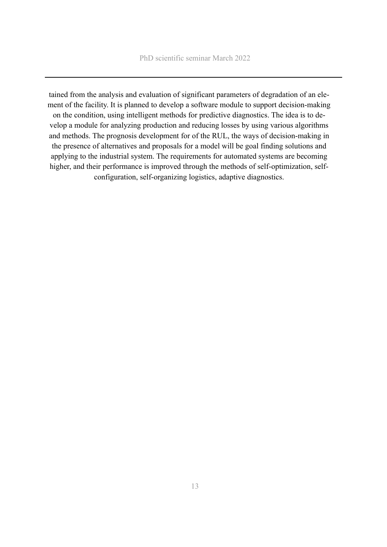tained from the analysis and evaluation of significant parameters of degradation of an element of the facility. It is planned to develop a software module to support decision-making on the condition, using intelligent methods for predictive diagnostics. The idea is to develop a module for analyzing production and reducing losses by using various algorithms and methods. The prognosis development for of the RUL, the ways of decision-making in the presence of alternatives and proposals for a model will be goal finding solutions and applying to the industrial system. The requirements for automated systems are becoming higher, and their performance is improved through the methods of self-optimization, selfconfiguration, self-organizing logistics, adaptive diagnostics.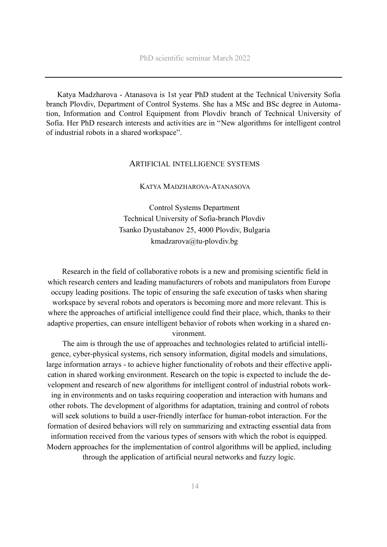Katya Madzharova - Atanasova is 1st year PhD student at the Technical University Sofia branch Plovdiv, Department of Control Systems. She has a MSc and BSc degree in Automation, Information and Control Equipment from Plovdiv branch of Technical University of Sofia. Her PhD research interests and activities are in "New algorithms for intelligent control of industrial robots in a shared workspace".

#### <span id="page-13-1"></span>ARTIFICIAL INTELLIGENCE SYSTEMS

#### <span id="page-13-0"></span>KATYA MADZHAROVA-ATANASOVA

Control Systems Department Technical University of Sofia-branch Plovdiv Tsanko Dyustabanov 25, 4000 Plovdiv, Bulgaria kmadzarova@tu-plovdiv.bg

Research in the field of collaborative robots is a new and promising scientific field in which research centers and leading manufacturers of robots and manipulators from Europe occupy leading positions. The topic of ensuring the safe execution of tasks when sharing workspace by several robots and operators is becoming more and more relevant. This is where the approaches of artificial intelligence could find their place, which, thanks to their adaptive properties, can ensure intelligent behavior of robots when working in a shared environment.

The aim is through the use of approaches and technologies related to artificial intelligence, cyber-physical systems, rich sensory information, digital models and simulations, large information arrays - to achieve higher functionality of robots and their effective application in shared working environment. Research on the topic is expected to include the development and research of new algorithms for intelligent control of industrial robots working in environments and on tasks requiring cooperation and interaction with humans and other robots. The development of algorithms for adaptation, training and control of robots will seek solutions to build a user-friendly interface for human-robot interaction. For the formation of desired behaviors will rely on summarizing and extracting essential data from information received from the various types of sensors with which the robot is equipped. Modern approaches for the implementation of control algorithms will be applied, including through the application of artificial neural networks and fuzzy logic.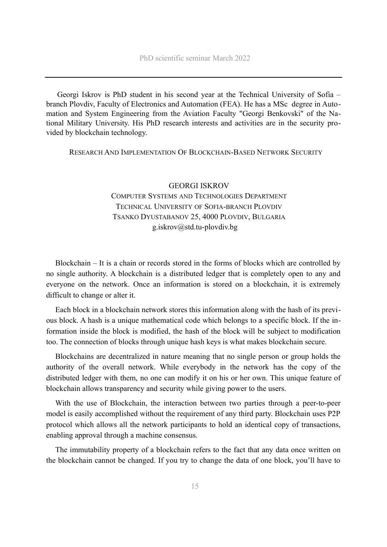Georgi Iskrov is PhD student in his second year at the Technical University of Sofia – branch Plovdiv, Faculty of Electronics and Automation (FEA). He has a MSc degree in Automation and System Engineering from the Aviation Faculty "Georgi Benkovski" of the National Military University. His PhD research interests and activities are in the security provided by blockchain technology.

<span id="page-14-0"></span>RESEARCH AND IMPLEMENTATION OF BLOCKCHAIN-BASED NETWORK SECURITY

# GEORGI ISKROV COMPUTER SYSTEMS AND TECHNOLOGIES DEPARTMENT TECHNICAL UNIVERSITY OF SOFIA-BRANCH PLOVDIV TSANKO DYUSTABANOV 25, 4000 PLOVDIV, BULGARIA g.iskrov@std.tu-plovdiv.bg

Blockchain – It is a chain or records stored in the forms of blocks which are controlled by no single authority. A blockchain is a distributed ledger that is completely open to any and everyone on the network. Once an information is stored on a blockchain, it is extremely difficult to change or alter it.

Each block in a blockchain network stores this information along with the hash of its previous block. A hash is a unique mathematical code which belongs to a specific block. If the information inside the block is modified, the hash of the block will be subject to modification too. The connection of blocks through unique hash keys is what makes blockchain secure.

Blockchains are decentralized in nature meaning that no single person or group holds the authority of the overall network. While everybody in the network has the copy of the distributed ledger with them, no one can modify it on his or her own. This unique feature of blockchain allows transparency and security while giving power to the users.

With the use of Blockchain, the interaction between two parties through a peer-to-peer model is easily accomplished without the requirement of any third party. Blockchain uses P2P protocol which allows all the network participants to hold an identical copy of transactions, enabling approval through a machine consensus.

The immutability property of a blockchain refers to the fact that any data once written on the blockchain cannot be changed. If you try to change the data of one block, you'll have to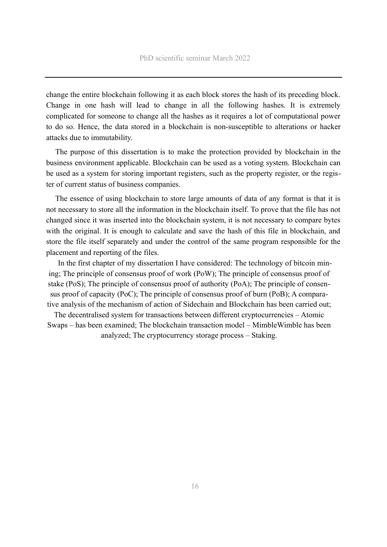change the entire blockchain following it as each block stores the hash of its preceding block. Change in one hash will lead to change in all the following hashes. It is extremely complicated for someone to change all the hashes as it requires a lot of computational power to do so. Hence, the data stored in a blockchain is non-susceptible to alterations or hacker attacks due to immutability.

The purpose of this dissertation is to make the protection provided by blockchain in the business environment applicable. Blockchain can be used as a voting system. Blockchain can be used as a system for storing important registers, such as the property register, or the register of current status of business companies.

The essence of using blockchain to store large amounts of data of any format is that it is not necessary to store all the information in the blockchain itself. To prove that the file has not changed since it was inserted into the blockchain system, it is not necessary to compare bytes with the original. It is enough to calculate and save the hash of this file in blockchain, and store the file itself separately and under the control of the same program responsible for the placement and reporting of the files.

In the first chapter of my dissertation I have considered: The technology of bitcoin mining; The principle of consensus proof of work (PoW); The principle of consensus proof of stake (PoS); The principle of consensus proof of authority (PoA); The principle of consensus proof of capacity (PoC); The principle of consensus proof of burn (PoB); A comparative analysis of the mechanism of action of Sidechain and Blockchain has been carried out;

The decentralised system for transactions between different cryptocurrencies – Atomic Swaps – has been examined; The blockchain transaction model – MimbleWimble has been analyzed; The cryptocurrency storage process – Staking.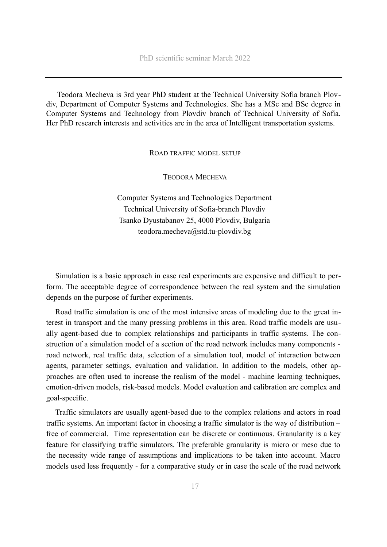Teodora Mecheva is 3rd year PhD student at the Technical University Sofia branch Plovdiv, Department of Computer Systems and Technologies. She has a MSc and BSc degree in Computer Systems and Technology from Plovdiv branch of Technical University of Sofia. Her PhD research interests and activities are in the area of Intelligent transportation systems.

ROAD TRAFFIC MODEL SETUP

<span id="page-16-0"></span>TEODORA MECHEVA

Computer Systems and Technologies Department Technical University of Sofia-branch Plovdiv Tsanko Dyustabanov 25, 4000 Plovdiv, Bulgaria teodora.mecheva@std.tu-plovdiv.bg

Simulation is a basic approach in case real experiments are expensive and difficult to perform. The acceptable degree of correspondence between the real system and the simulation depends on the purpose of further experiments.

Road traffic simulation is one of the most intensive areas of modeling due to the great interest in transport and the many pressing problems in this area. Road traffic models are usually agent-based due to complex relationships and participants in traffic systems. The construction of a simulation model of a section of the road network includes many components road network, real traffic data, selection of a simulation tool, model of interaction between agents, parameter settings, evaluation and validation. In addition to the models, other approaches are often used to increase the realism of the model - machine learning techniques, emotion-driven models, risk-based models. Model evaluation and calibration are complex and goal-specific.

Traffic simulators are usually agent-based due to the complex relations and actors in road traffic systems. An important factor in choosing a traffic simulator is the way of distribution – free of commercial. Time representation can be discrete or continuous. Granularity is a key feature for classifying traffic simulators. The preferable granularity is micro or meso due to the necessity wide range of assumptions and implications to be taken into account. Macro models used less frequently - for a comparative study or in case the scale of the road network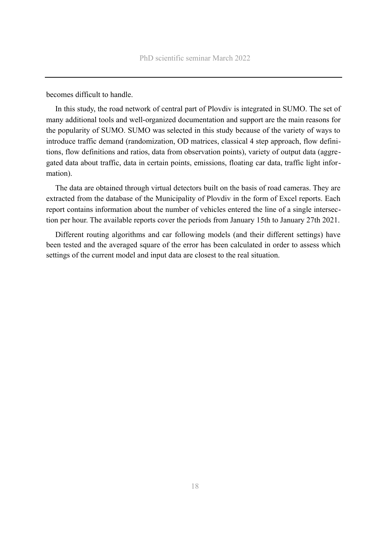becomes difficult to handle.

In this study, the road network of central part of Plovdiv is integrated in SUMO. The set of many additional tools and well-organized documentation and support are the main reasons for the popularity of SUMO. SUMO was selected in this study because of the variety of ways to introduce traffic demand (randomization, OD matrices, classical 4 step approach, flow definitions, flow definitions and ratios, data from observation points), variety of output data (aggregated data about traffic, data in certain points, emissions, floating car data, traffic light information).

The data are obtained through virtual detectors built on the basis of road cameras. They are extracted from the database of the Municipality of Plovdiv in the form of Excel reports. Each report contains information about the number of vehicles entered the line of a single intersection per hour. The available reports cover the periods from January 15th to January 27th 2021.

Different routing algorithms and car following models (and their different settings) have been tested and the averaged square of the error has been calculated in order to assess which settings of the current model and input data are closest to the real situation.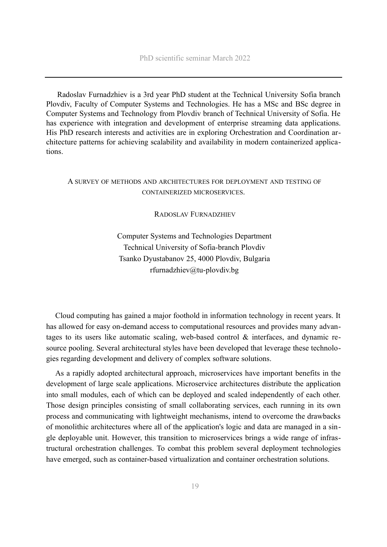Radoslav Furnadzhiev is a 3rd year PhD student at the Technical University Sofia branch Plovdiv, Faculty of Computer Systems and Technologies. He has a MSc and BSc degree in Computer Systems and Technology from Plovdiv branch of Technical University of Sofia. He has experience with integration and development of enterprise streaming data applications. His PhD research interests and activities are in exploring Orchestration and Coordination architecture patterns for achieving scalability and availability in modern containerized applications.

### <span id="page-18-1"></span>A SURVEY OF METHODS AND ARCHITECTURES FOR DEPLOYMENT AND TESTING OF CONTAINERIZED MICROSERVICES.

#### <span id="page-18-0"></span>RADOSLAV FURNADZHIEV

Computer Systems and Technologies Department Technical University of Sofia-branch Plovdiv Tsanko Dyustabanov 25, 4000 Plovdiv, Bulgaria rfurnadzhiev@tu-plovdiv.bg

Cloud computing has gained a major foothold in information technology in recent years. It has allowed for easy on-demand access to computational resources and provides many advantages to its users like automatic scaling, web-based control & interfaces, and dynamic resource pooling. Several architectural styles have been developed that leverage these technologies regarding development and delivery of complex software solutions.

As a rapidly adopted architectural approach, microservices have important benefits in the development of large scale applications. Microservice architectures distribute the application into small modules, each of which can be deployed and scaled independently of each other. Those design principles consisting of small collaborating services, each running in its own process and communicating with lightweight mechanisms, intend to overcome the drawbacks of monolithic architectures where all of the application's logic and data are managed in a single deployable unit. However, this transition to microservices brings a wide range of infrastructural orchestration challenges. To combat this problem several deployment technologies have emerged, such as container-based virtualization and container orchestration solutions.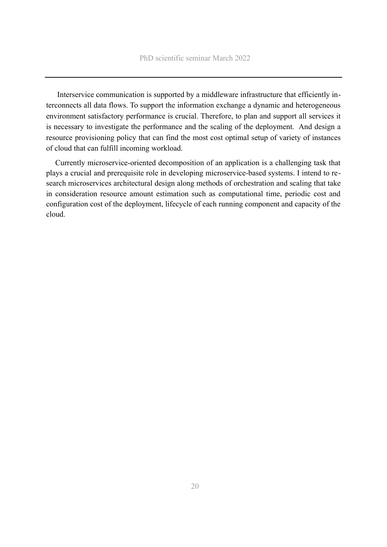Interservice communication is supported by a middleware infrastructure that efficiently interconnects all data flows. To support the information exchange a dynamic and heterogeneous environment satisfactory performance is crucial. Therefore, to plan and support all services it is necessary to investigate the performance and the scaling of the deployment. And design a resource provisioning policy that can find the most cost optimal setup of variety of instances of cloud that can fulfill incoming workload.

Currently microservice-oriented decomposition of an application is a challenging task that plays a crucial and prerequisite role in developing microservice-based systems. I intend to research microservices architectural design along methods of orchestration and scaling that take in consideration resource amount estimation such as computational time, periodic cost and configuration cost of the deployment, lifecycle of each running component and capacity of the cloud.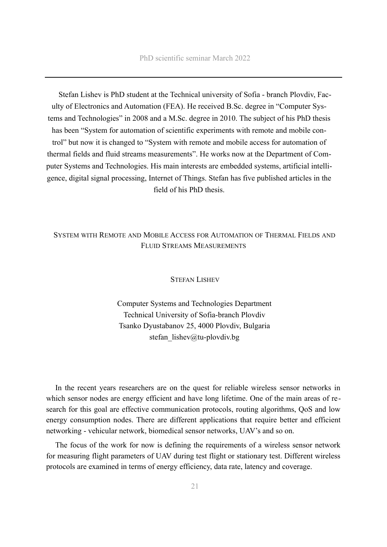Stefan Lishev is PhD student at the Technical university of Sofia - branch Plovdiv, Faculty of Electronics and Automation (FEA). He received B.Sc. degree in "Computer Systems and Technologies" in 2008 and a M.Sc. degree in 2010. The subject of his PhD thesis has been "System for automation of scientific experiments with remote and mobile control" but now it is changed to "System with remote and mobile access for automation of thermal fields and fluid streams measurements". He works now at the Department of Computer Systems and Technologies. His main interests are embedded systems, artificial intelligence, digital signal processing, Internet of Things. Stefan has five published articles in the field of his PhD thesis.

# <span id="page-20-1"></span>SYSTEM WITH REMOTE AND MOBILE ACCESS FOR AUTOMATION OF THERMAL FIELDS AND FLUID STREAMS MEASUREMENTS

#### <span id="page-20-0"></span>STEFAN LISHEV

Computer Systems and Technologies Department Technical University of Sofia-branch Plovdiv Tsanko Dyustabanov 25, 4000 Plovdiv, Bulgaria stefan\_lishev@tu-plovdiv.bg

In the recent years researchers are on the quest for reliable wireless sensor networks in which sensor nodes are energy efficient and have long lifetime. One of the main areas of research for this goal are effective communication protocols, routing algorithms, QoS and low energy consumption nodes. There are different applications that require better and efficient networking - vehicular network, biomedical sensor networks, UAV's and so on.

The focus of the work for now is defining the requirements of a wireless sensor network for measuring flight parameters of UAV during test flight or stationary test. Different wireless protocols are examined in terms of energy efficiency, data rate, latency and coverage.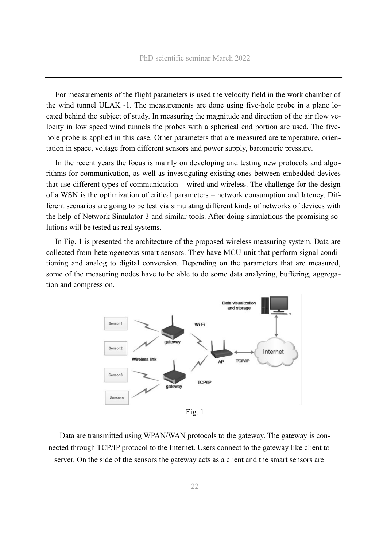For measurements of the flight parameters is used the velocity field in the work chamber of the wind tunnel ULAK -1. The measurements are done using five-hole probe in a plane located behind the subject of study. In measuring the magnitude and direction of the air flow velocity in low speed wind tunnels the probes with a spherical end portion are used. The fivehole probe is applied in this case. Other parameters that are measured are temperature, orientation in space, voltage from different sensors and power supply, barometric pressure.

In the recent years the focus is mainly on developing and testing new protocols and algorithms for communication, as well as investigating existing ones between embedded devices that use different types of communication – wired and wireless. The challenge for the design of a WSN is the optimization of critical parameters – network consumption and latency. Different scenarios are going to be test via simulating different kinds of networks of devices with the help of Network Simulator 3 and similar tools. After doing simulations the promising solutions will be tested as real systems.

In Fig. 1 is presented the architecture of the proposed wireless measuring system. Data are collected from heterogeneous smart sensors. They have MCU unit that perform signal conditioning and analog to digital conversion. Depending on the parameters that are measured, some of the measuring nodes have to be able to do some data analyzing, buffering, aggregation and compression.



Fig. 1

Data are transmitted using WPAN/WAN protocols to the gateway. The gateway is connected through TCP/IP protocol to the Internet. Users connect to the gateway like client to server. On the side of the sensors the gateway acts as a client and the smart sensors are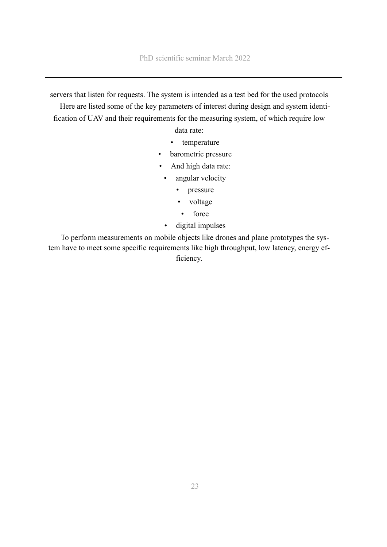servers that listen for requests. The system is intended as a test bed for the used protocols Here are listed some of the key parameters of interest during design and system identification of UAV and their requirements for the measuring system, of which require low

data rate:

- temperature
- barometric pressure
- And high data rate:
	- angular velocity
		- pressure
		- voltage
		- force
	- digital impulses

To perform measurements on mobile objects like drones and plane prototypes the system have to meet some specific requirements like high throughput, low latency, energy efficiency.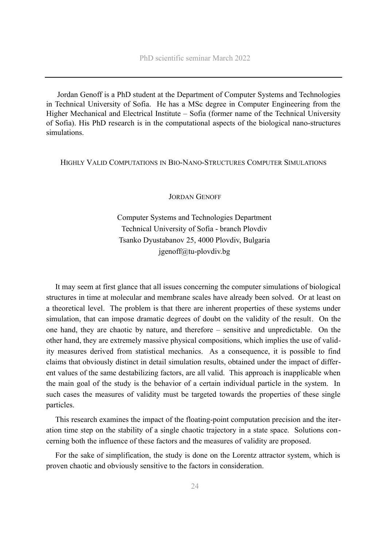Jordan Genoff is a PhD student at the Department of Computer Systems and Technologies in Technical University of Sofia. He has a MSc degree in Computer Engineering from the Higher Mechanical and Electrical Institute – Sofia (former name of the Technical University of Sofia). His PhD research is in the computational aspects of the biological nano-structures simulations.

#### <span id="page-23-1"></span>HIGHLY VALID COMPUTATIONS IN BIO-NANO-STRUCTURES COMPUTER SIMULATIONS

#### <span id="page-23-0"></span>JORDAN GENOFF

Computer Systems and Technologies Department Technical University of Sofia - branch Plovdiv Tsanko Dyustabanov 25, 4000 Plovdiv, Bulgaria  $j$ genoff@tu-plovdiv.bg

It may seem at first glance that all issues concerning the computer simulations of biological structures in time at molecular and membrane scales have already been solved. Or at least on a theoretical level. The problem is that there are inherent properties of these systems under simulation, that can impose dramatic degrees of doubt on the validity of the result. On the one hand, they are chaotic by nature, and therefore – sensitive and unpredictable. On the other hand, they are extremely massive physical compositions, which implies the use of validity measures derived from statistical mechanics. As a consequence, it is possible to find claims that obviously distinct in detail simulation results, obtained under the impact of different values of the same destabilizing factors, are all valid. This approach is inapplicable when the main goal of the study is the behavior of a certain individual particle in the system. In such cases the measures of validity must be targeted towards the properties of these single particles.

This research examines the impact of the floating-point computation precision and the iteration time step on the stability of a single chaotic trajectory in a state space. Solutions concerning both the influence of these factors and the measures of validity are proposed.

For the sake of simplification, the study is done on the Lorentz attractor system, which is proven chaotic and obviously sensitive to the factors in consideration.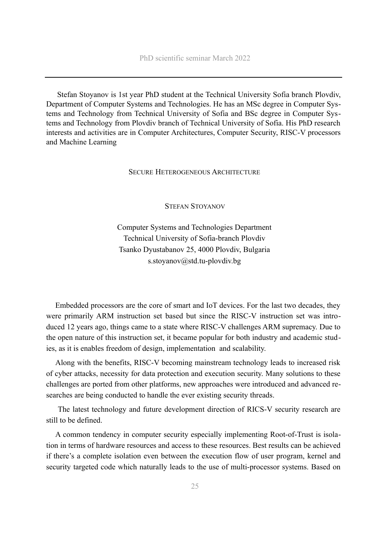Stefan Stoyanov is 1st year PhD student at the Technical University Sofia branch Plovdiv, Department of Computer Systems and Technologies. He has an MSc degree in Computer Systems and Technology from Technical University of Sofia and BSc degree in Computer Systems and Technology from Plovdiv branch of Technical University of Sofia. His PhD research interests and activities are in Computer Architectures, Computer Security, RISC-V processors and Machine Learning

#### <span id="page-24-1"></span>SECURE HETEROGENEOUS ARCHITECTURE

#### <span id="page-24-0"></span>STEFAN STOYANOV

Computer Systems and Technologies Department Technical University of Sofia-branch Plovdiv Tsanko Dyustabanov 25, 4000 Plovdiv, Bulgaria s.stoyanov@std.tu-plovdiv.bg

Embedded processors are the core of smart and IoT devices. For the last two decades, they were primarily ARM instruction set based but since the RISC-V instruction set was introduced 12 years ago, things came to a state where RISC-V challenges ARM supremacy. Due to the open nature of this instruction set, it became popular for both industry and academic studies, as it is enables freedom of design, implementation and scalability.

Along with the benefits, RISC-V becoming mainstream technology leads to increased risk of cyber attacks, necessity for data protection and execution security. Many solutions to these challenges are ported from other platforms, new approaches were introduced and advanced researches are being conducted to handle the ever existing security threads.

 The latest technology and future development direction of RICS-V security research are still to be defined.

A common tendency in computer security especially implementing Root-of-Trust is isolation in terms of hardware resources and access to these resources. Best results can be achieved if there's a complete isolation even between the execution flow of user program, kernel and security targeted code which naturally leads to the use of multi-processor systems. Based on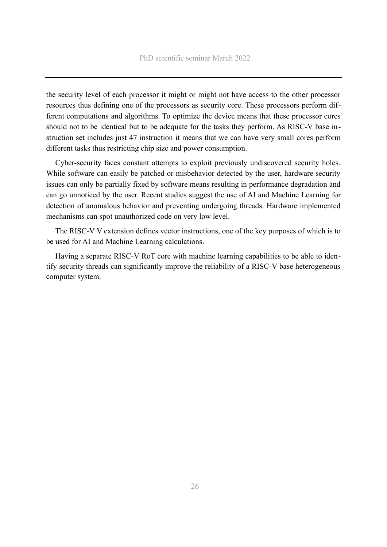the security level of each processor it might or might not have access to the other processor resources thus defining one of the processors as security core. These processors perform different computations and algorithms. To optimize the device means that these processor cores should not to be identical but to be adequate for the tasks they perform. As RISC-V base instruction set includes just 47 instruction it means that we can have very small cores perform different tasks thus restricting chip size and power consumption.

Cyber-security faces constant attempts to exploit previously undiscovered security holes. While software can easily be patched or misbehavior detected by the user, hardware security issues can only be partially fixed by software means resulting in performance degradation and can go unnoticed by the user. Recent studies suggest the use of AI and Machine Learning for detection of anomalous behavior and preventing undergoing threads. Hardware implemented mechanisms can spot unauthorized code on very low level.

The RISC-V V extension defines vector instructions, one of the key purposes of which is to be used for AI and Machine Learning calculations.

Having a separate RISC-V RoT core with machine learning capabilities to be able to identify security threads can significantly improve the reliability of a RISC-V base heterogeneous computer system.